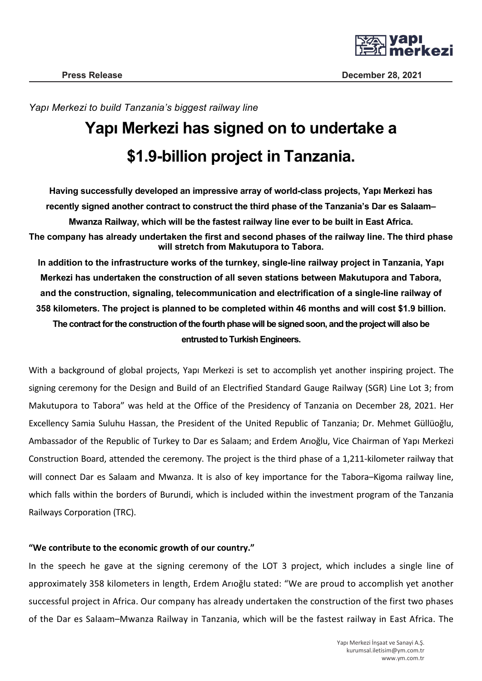

*Yapı Merkezi to build Tanzania's biggest railway line*

## **Yapı Merkezi has signed on to undertake a \$1.9-billion project in Tanzania.**

**Having successfully developed an impressive array of world-class projects, Yapı Merkezi has recently signed another contract to construct the third phase of the Tanzania's Dar es Salaam– Mwanza Railway, which will be the fastest railway line ever to be built in East Africa. The company has already undertaken the first and second phases of the railway line. The third phase will stretch from Makutupora to Tabora. In addition to the infrastructure works of the turnkey, single-line railway project in Tanzania, Yapı** 

**Merkezi has undertaken the construction of all seven stations between Makutupora and Tabora, and the construction, signaling, telecommunication and electrification of a single-line railway of 358 kilometers. The project is planned to be completed within 46 months and will cost \$1.9 billion. The contract for the construction of the fourth phase will be signed soon, and the project will also be entrusted to Turkish Engineers.**

With a background of global projects, Yapı Merkezi is set to accomplish yet another inspiring project. The signing ceremony for the Design and Build of an Electrified Standard Gauge Railway (SGR) Line Lot 3; from Makutupora to Tabora" was held at the Office of the Presidency of Tanzania on December 28, 2021. Her Excellency Samia Suluhu Hassan, the President of the United Republic of Tanzania; Dr. Mehmet Güllüoğlu, Ambassador of the Republic of Turkey to Dar es Salaam; and Erdem Arıoğlu, Vice Chairman of Yapı Merkezi Construction Board, attended the ceremony. The project is the third phase of a 1,211-kilometer railway that will connect Dar es Salaam and Mwanza. It is also of key importance for the Tabora–Kigoma railway line, which falls within the borders of Burundi, which is included within the investment program of the Tanzania Railways Corporation (TRC).

## **"We contribute to the economic growth of our country."**

In the speech he gave at the signing ceremony of the LOT 3 project, which includes a single line of approximately 358 kilometers in length, Erdem Arıoğlu stated: "We are proud to accomplish yet another successful project in Africa. Our company has already undertaken the construction of the first two phases of the Dar es Salaam–Mwanza Railway in Tanzania, which will be the fastest railway in East Africa. The